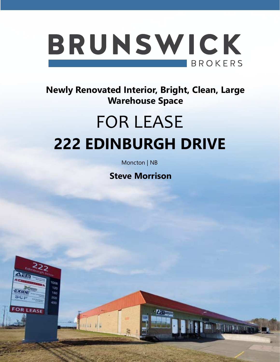

**Newly Renovated Interior, Bright, Clean, Large Warehouse Space**

# FOR LEASE **222 EDINBURGH DRIVE**

Moncton | NB

**Steve Morrison**

**William** 

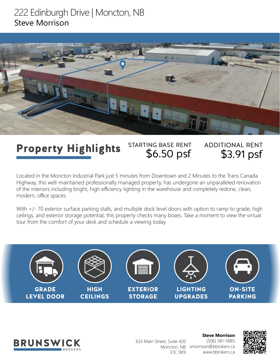### 222 Edinburgh Drive | Moncton, NB Steve Morrison



### STARTING BASE RENT \$6.50 psf ADDITIONAL RENT \$3.91 psf Property Highlights

Located in the Moncton Industrial Park just 5 minutes from Downtown and 2 Minutes to the Trans Canada Highway, this well-maintained professionally managed property, has undergone an unparalleled renovation of the interiors including bright, high efficiency lighting in the warehouse and completely redone, clean, modern, office spaces.

With  $+/-$  70 exterior surface parking stalls, and multiple dock level doors with option to ramp to grade, high ceilings, and exterior storage potential, this property checks many boxes. Take a moment to view the virtual tour from the comfort of your desk and schedule a viewing today.





**Steve Morrison** (506) 381-5885 Moncton, NB smorrison@bbrokers.ca www.bbrokers.ca 633 Main Street, Suite 420 E1C 9X9

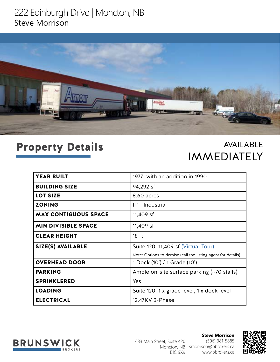### 222 Edinburgh Drive | Moncton, NB Steve Morrison



## Property Details

AVAILABLE IMMEDIATELY

| <b>YEAR BUILT</b>           | 1977, with an addition in 1990                               |
|-----------------------------|--------------------------------------------------------------|
| <b>BUILDING SIZE</b>        | 94,292 sf                                                    |
| <b>LOT SIZE</b>             | 8.60 acres                                                   |
| <b>ZONING</b>               | IP - Industrial                                              |
| <b>MAX CONTIGUOUS SPACE</b> | 11,409 sf                                                    |
| <b>MIN DIVISIBLE SPACE</b>  | 11,409 sf                                                    |
| <b>CLEAR HEIGHT</b>         | 18 <sub>ft</sub>                                             |
| SIZE(S) AVAILABLE           | Suite 120: 11,409 sf (Virtual Tour)                          |
|                             | Note: Options to demise (call the listing agent for details) |
| <b>OVERHEAD DOOR</b>        | 1 Dock (10') / 1 Grade (10')                                 |
| <b>PARKING</b>              | Ample on-site surface parking (~70 stalls)                   |
| <b>SPRINKLERED</b>          | Yes                                                          |
| <b>LOADING</b>              | Suite 120: 1 x grade level, 1 x dock level                   |
| <b>ELECTRICAL</b>           | 12.47KV 3-Phase                                              |



**Steve Morrison** (506) 381-5885 Moncton, NB smorrison@bbrokers.ca www.bbrokers.ca 633 Main Street, Suite 420 E1C 9X9

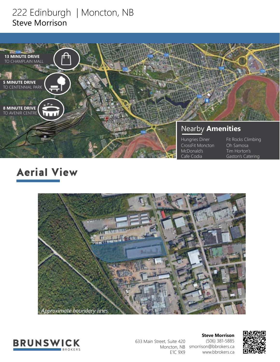### 222 Edinburgh | Moncton, NB Steve Morrison



# Aerial View





633 Main Street, Suite 420 E1C 9X9

**Steve Morrison** (506) 381-5885 Moncton, NB smorrison@bbrokers.ca www.bbrokers.ca

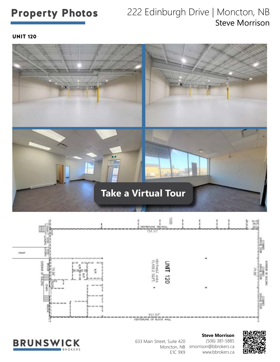### Property Photos 222 Edinburgh Drive | Moncton, NB Steve Morrison

UNIT 120







**Steve Morrison** (506) 381-5885 Moncton, NB smorrison@bbrokers.ca www.bbrokers.ca 633 Main Street, Suite 420 E1C 9X9

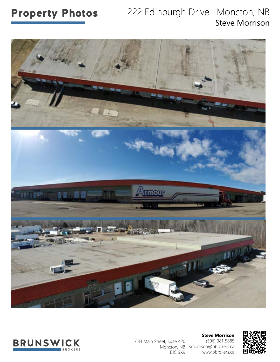### Property Photos 222 Edinburgh Drive | Moncton, NB Steve Morrison





633 Main Street, Suite 420 E1C 9X9

**Steve Morrison** (506) 381-5885 Moncton, NB smorrison@bbrokers.ca www.bbrokers.ca